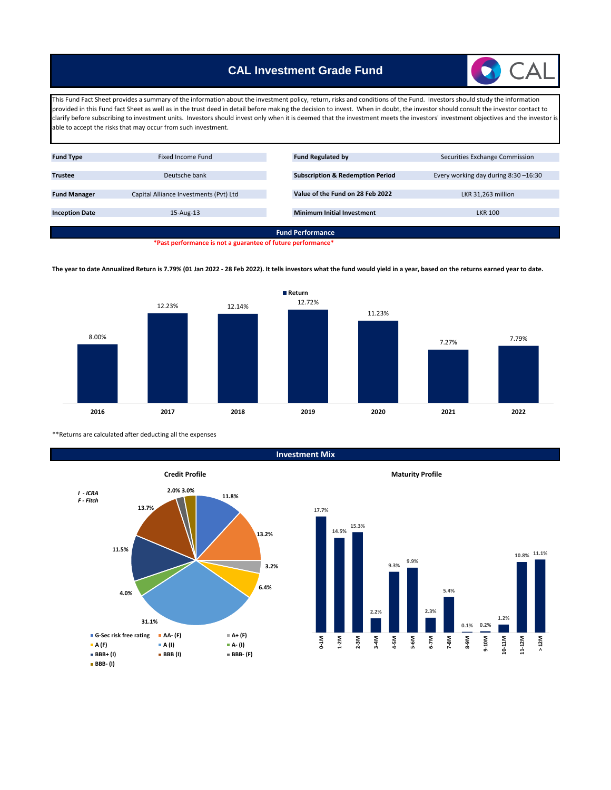# **CAL Investment Grade Fund**

This Fund Fact Sheet provides a summary of the information about the investment policy, return, risks and conditions of the Fund. Investors should study the information provided in this Fund fact Sheet as well as in the trust deed in detail before making the decision to invest. When in doubt, the investor should consult the investor contact to clarify before subscribing to investment units. Investors should invest only when it is deemed that the investment meets the investors' investment objectives and the investor is able to accept the risks that may occur from such investment.



**\*Past performance is not a guarantee of future performance\***

**The year to date Annualized Return is 7.79% (01 Jan 2022 - 28 Feb 2022). It tells investors what the fund would yield in a year, based on the returns earned year to date.**



\*\*Returns are calculated after deducting all the expenses



**Investment Mix**

**Maturity Profile**